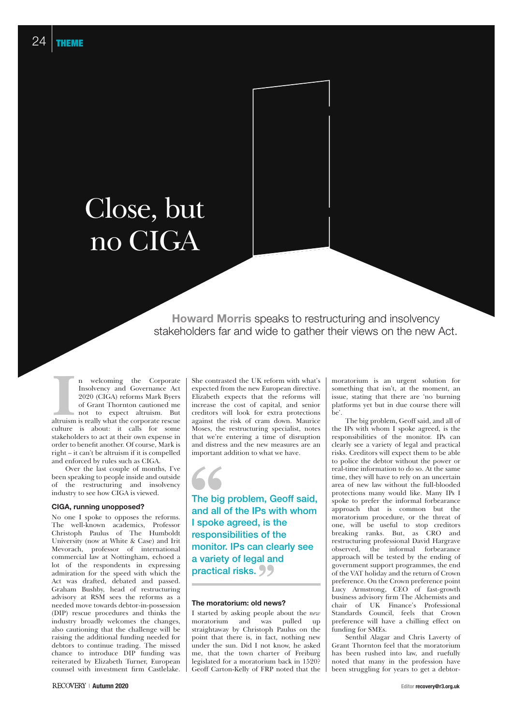# Close, but no CIGA

**Howard Morris** speaks to restructuring and insolvency stakeholders far and wide to gather their views on the new Act.

In welcoming the Corporate<br>
Insolvency and Governance Act<br>
2020 (CIGA) reforms Mark Byers<br>
of Grant Thornton cautioned me<br>
not to expect altruism. But<br>
altruism is really what the corporate rescue n welcoming the Corporate Insolvency and Governance Act 2020 (CIGA) reforms Mark Byers of Grant Thornton cautioned me not to expect altruism. But culture is about: it calls for some stakeholders to act at their own expense in order to benefit another. Of course, Mark is right – it can't be altruism if it is compelled and enforced by rules such as CIGA.

Over the last couple of months, I've been speaking to people inside and outside of the restructuring and insolvency industry to see how CIGA is viewed.

### **CIGA, running unopposed?**

No one I spoke to opposes the reforms. The well-known academics, Professor Christoph Paulus of The Humboldt University (now at White & Case) and Irit Mevorach, professor of international commercial law at Nottingham, echoed a lot of the respondents in expressing admiration for the speed with which the Act was drafted, debated and passed. Graham Bushby, head of restructuring advisory at RSM sees the reforms as a needed move towards debtor-in-possession (DIP) rescue procedures and thinks the industry broadly welcomes the changes, also cautioning that the challenge will be raising the additional funding needed for debtors to continue trading. The missed chance to introduce DIP funding was reiterated by Elizabeth Turner, European counsel with investment firm Castlelake. She contrasted the UK reform with what's expected from the new European directive. Elizabeth expects that the reforms will increase the cost of capital, and senior creditors will look for extra protections against the risk of cram down. Maurice Moses, the restructuring specialist, notes that we're entering a time of disruption and distress and the new measures are an important addition to what we have.



The big problem, Geoff said, and all of the IPs with whom I spoke agreed, is the responsibilities of the monitor. IPs can clearly see a variety of legal and practical risks. 99

## **The moratorium: old news?**

I started by asking people about the *new* moratorium and was pulled up straightaway by Christoph Paulus on the point that there is, in fact, nothing new under the sun. Did I not know, he asked me, that the town charter of Freiburg legislated for a moratorium back in 1520? Geoff Carton-Kelly of FRP noted that the moratorium is an urgent solution for something that isn't, at the moment, an issue, stating that there are 'no burning platforms yet but in due course there will be'.

The big problem, Geoff said, and all of the IPs with whom I spoke agreed, is the responsibilities of the monitor. IPs can clearly see a variety of legal and practical risks. Creditors will expect them to be able to police the debtor without the power or real-time information to do so. At the same time, they will have to rely on an uncertain area of new law without the full-blooded protections many would like. Many IPs I spoke to prefer the informal forbearance approach that is common but the moratorium procedure, or the threat of one, will be useful to stop creditors breaking ranks. But, as CRO and restructuring professional David Hargrave observed, the informal forbearance approach will be tested by the ending of government support programmes, the end of the VAT holiday and the return of Crown preference. On the Crown preference point Lucy Armstrong, CEO of fast-growth business advisory firm The Alchemists and chair of UK Finance's Professional Standards Council, feels that Crown preference will have a chilling effect on funding for SMEs.

Senthil Alagar and Chris Laverty of Grant Thornton feel that the moratorium has been rushed into law, and ruefully noted that many in the profession have been struggling for years to get a debtor